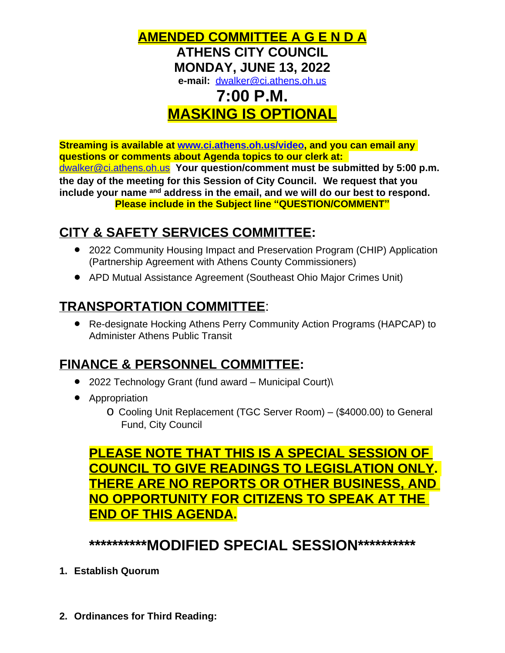

# **MASKING IS OPTIONAL**

**Streaming is available at [www.ci.athens.oh.us/video,](http://www.ci.athens.oh.us/video) and you can email any questions or comments about Agenda topics to our clerk at:**  [dwalker@ci.athens.oh.us](mailto:dwalker@ci.athens.oh.us) **Your question/comment must be submitted by 5:00 p.m. the day of the meeting for this Session of City Council. We request that you include your name and address in the email, and we will do our best to respond. Please include in the Subject line "QUESTION/COMMENT"**

## **CITY & SAFETY SERVICES COMMITTEE:**

- 2022 Community Housing Impact and Preservation Program (CHIP) Application (Partnership Agreement with Athens County Commissioners)
- APD Mutual Assistance Agreement (Southeast Ohio Major Crimes Unit)

### **TRANSPORTATION COMMITTEE**:

 Re-designate Hocking Athens Perry Community Action Programs (HAPCAP) to Administer Athens Public Transit

### **FINANCE & PERSONNEL COMMITTEE:**

- 2022 Technology Grant (fund award Municipal Court)\
- Appropriation
	- o Cooling Unit Replacement (TGC Server Room) (\$4000.00) to General Fund, City Council

### **PLEASE NOTE THAT THIS IS A SPECIAL SESSION OF COUNCIL TO GIVE READINGS TO LEGISLATION ONLY. THERE ARE NO REPORTS OR OTHER BUSINESS, AND NO OPPORTUNITY FOR CITIZENS TO SPEAK AT THE END OF THIS AGENDA.**

### **\*\*\*\*\*\*\*\*\*\*MODIFIED SPECIAL SESSION\*\*\*\*\*\*\*\*\*\***

- **1. Establish Quorum**
- **2. Ordinances for Third Reading:**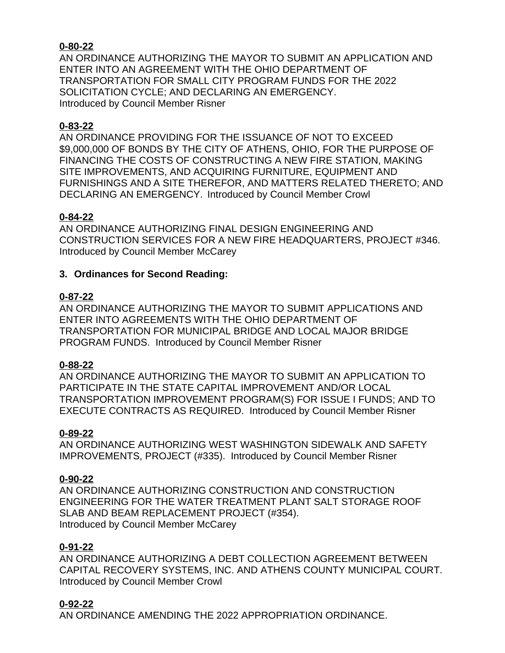#### **0-80-22**

AN ORDINANCE AUTHORIZING THE MAYOR TO SUBMIT AN APPLICATION AND ENTER INTO AN AGREEMENT WITH THE OHIO DEPARTMENT OF TRANSPORTATION FOR SMALL CITY PROGRAM FUNDS FOR THE 2022 SOLICITATION CYCLE; AND DECLARING AN EMERGENCY. Introduced by Council Member Risner

#### **0-83-22**

AN ORDINANCE PROVIDING FOR THE ISSUANCE OF NOT TO EXCEED \$9,000,000 OF BONDS BY THE CITY OF ATHENS, OHIO, FOR THE PURPOSE OF FINANCING THE COSTS OF CONSTRUCTING A NEW FIRE STATION, MAKING SITE IMPROVEMENTS, AND ACQUIRING FURNITURE, EQUIPMENT AND FURNISHINGS AND A SITE THEREFOR, AND MATTERS RELATED THERETO; AND DECLARING AN EMERGENCY. Introduced by Council Member Crowl

#### **0-84-22**

AN ORDINANCE AUTHORIZING FINAL DESIGN ENGINEERING AND CONSTRUCTION SERVICES FOR A NEW FIRE HEADQUARTERS, PROJECT #346. Introduced by Council Member McCarey

#### **3. Ordinances for Second Reading:**

#### **0-87-22**

AN ORDINANCE AUTHORIZING THE MAYOR TO SUBMIT APPLICATIONS AND ENTER INTO AGREEMENTS WITH THE OHIO DEPARTMENT OF TRANSPORTATION FOR MUNICIPAL BRIDGE AND LOCAL MAJOR BRIDGE PROGRAM FUNDS. Introduced by Council Member Risner

#### **0-88-22**

AN ORDINANCE AUTHORIZING THE MAYOR TO SUBMIT AN APPLICATION TO PARTICIPATE IN THE STATE CAPITAL IMPROVEMENT AND/OR LOCAL TRANSPORTATION IMPROVEMENT PROGRAM(S) FOR ISSUE I FUNDS; AND TO EXECUTE CONTRACTS AS REQUIRED. Introduced by Council Member Risner

#### **0-89-22**

AN ORDINANCE AUTHORIZING WEST WASHINGTON SIDEWALK AND SAFETY IMPROVEMENTS, PROJECT (#335). Introduced by Council Member Risner

#### **0-90-22**

AN ORDINANCE AUTHORIZING CONSTRUCTION AND CONSTRUCTION ENGINEERING FOR THE WATER TREATMENT PLANT SALT STORAGE ROOF SLAB AND BEAM REPLACEMENT PROJECT (#354). Introduced by Council Member McCarey

#### **0-91-22**

AN ORDINANCE AUTHORIZING A DEBT COLLECTION AGREEMENT BETWEEN CAPITAL RECOVERY SYSTEMS, INC. AND ATHENS COUNTY MUNICIPAL COURT. Introduced by Council Member Crowl

#### **0-92-22**

AN ORDINANCE AMENDING THE 2022 APPROPRIATION ORDINANCE.